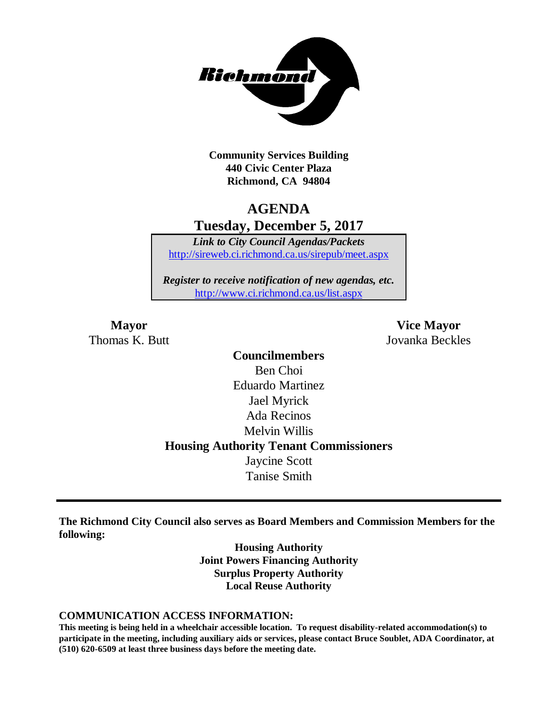

**Community Services Building 440 Civic Center Plaza Richmond, CA 94804**

# **AGENDA Tuesday, December 5, 2017**

*Link to City Council Agendas/Packets* <http://sireweb.ci.richmond.ca.us/sirepub/meet.aspx>

*Register to receive notification of new agendas, etc.* <http://www.ci.richmond.ca.us/list.aspx>

**Mayor Vice Mayor** Thomas K. Butt Jovanka Beckles

> **Councilmembers** Ben Choi Eduardo Martinez Jael Myrick Ada Recinos Melvin Willis **Housing Authority Tenant Commissioners** Jaycine Scott Tanise Smith

**The Richmond City Council also serves as Board Members and Commission Members for the following:**

> **Housing Authority Joint Powers Financing Authority Surplus Property Authority Local Reuse Authority**

#### **COMMUNICATION ACCESS INFORMATION:**

**This meeting is being held in a wheelchair accessible location. To request disability-related accommodation(s) to participate in the meeting, including auxiliary aids or services, please contact Bruce Soublet, ADA Coordinator, at (510) 620-6509 at least three business days before the meeting date.**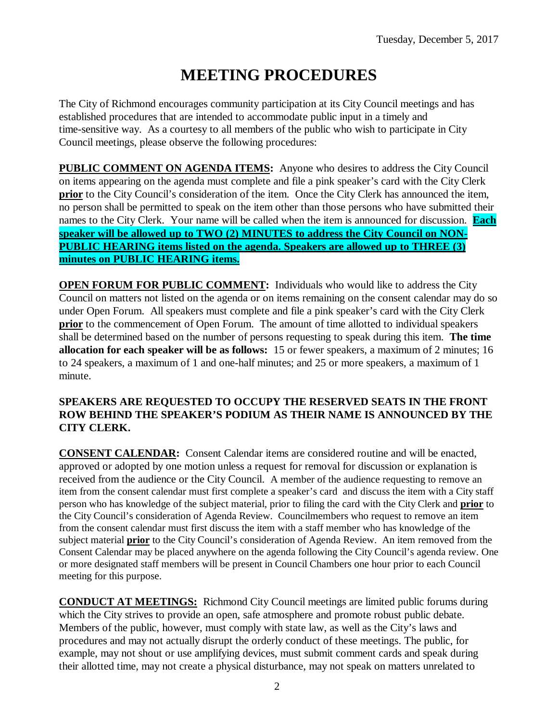# **MEETING PROCEDURES**

The City of Richmond encourages community participation at its City Council meetings and has established procedures that are intended to accommodate public input in a timely and time-sensitive way. As a courtesy to all members of the public who wish to participate in City Council meetings, please observe the following procedures:

**PUBLIC COMMENT ON AGENDA ITEMS:** Anyone who desires to address the City Council on items appearing on the agenda must complete and file a pink speaker's card with the City Clerk **prior** to the City Council's consideration of the item. Once the City Clerk has announced the item, no person shall be permitted to speak on the item other than those persons who have submitted their names to the City Clerk. Your name will be called when the item is announced for discussion. **Each speaker will be allowed up to TWO (2) MINUTES to address the City Council on NON-PUBLIC HEARING items listed on the agenda. Speakers are allowed up to THREE (3) minutes on PUBLIC HEARING items.**

**OPEN FORUM FOR PUBLIC COMMENT:** Individuals who would like to address the City Council on matters not listed on the agenda or on items remaining on the consent calendar may do so under Open Forum. All speakers must complete and file a pink speaker's card with the City Clerk **prior** to the commencement of Open Forum. The amount of time allotted to individual speakers shall be determined based on the number of persons requesting to speak during this item. **The time allocation for each speaker will be as follows:** 15 or fewer speakers, a maximum of 2 minutes; 16 to 24 speakers, a maximum of 1 and one-half minutes; and 25 or more speakers, a maximum of 1 minute.

#### **SPEAKERS ARE REQUESTED TO OCCUPY THE RESERVED SEATS IN THE FRONT ROW BEHIND THE SPEAKER'S PODIUM AS THEIR NAME IS ANNOUNCED BY THE CITY CLERK.**

**CONSENT CALENDAR:** Consent Calendar items are considered routine and will be enacted, approved or adopted by one motion unless a request for removal for discussion or explanation is received from the audience or the City Council. A member of the audience requesting to remove an item from the consent calendar must first complete a speaker's card and discuss the item with a City staff person who has knowledge of the subject material, prior to filing the card with the City Clerk and **prior** to the City Council's consideration of Agenda Review. Councilmembers who request to remove an item from the consent calendar must first discuss the item with a staff member who has knowledge of the subject material **prior** to the City Council's consideration of Agenda Review. An item removed from the Consent Calendar may be placed anywhere on the agenda following the City Council's agenda review. One or more designated staff members will be present in Council Chambers one hour prior to each Council meeting for this purpose.

**CONDUCT AT MEETINGS:** Richmond City Council meetings are limited public forums during which the City strives to provide an open, safe atmosphere and promote robust public debate. Members of the public, however, must comply with state law, as well as the City's laws and procedures and may not actually disrupt the orderly conduct of these meetings. The public, for example, may not shout or use amplifying devices, must submit comment cards and speak during their allotted time, may not create a physical disturbance, may not speak on matters unrelated to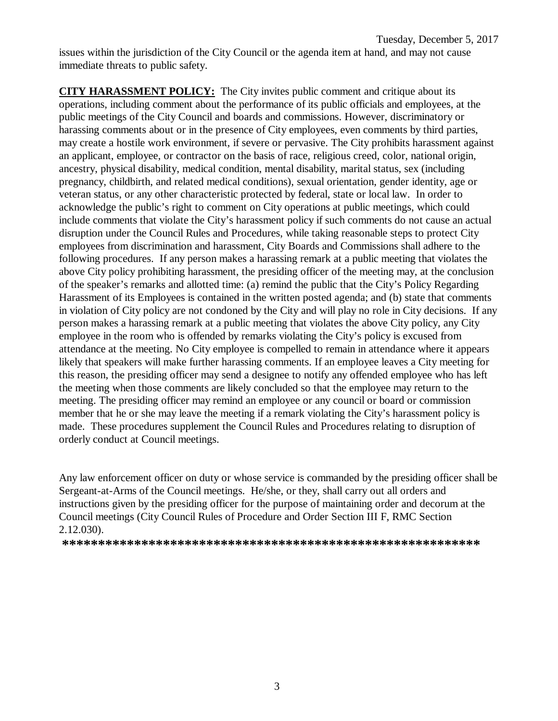issues within the jurisdiction of the City Council or the agenda item at hand, and may not cause immediate threats to public safety.

**CITY HARASSMENT POLICY:** The City invites public comment and critique about its operations, including comment about the performance of its public officials and employees, at the public meetings of the City Council and boards and commissions. However, discriminatory or harassing comments about or in the presence of City employees, even comments by third parties, may create a hostile work environment, if severe or pervasive. The City prohibits harassment against an applicant, employee, or contractor on the basis of race, religious creed, color, national origin, ancestry, physical disability, medical condition, mental disability, marital status, sex (including pregnancy, childbirth, and related medical conditions), sexual orientation, gender identity, age or veteran status, or any other characteristic protected by federal, state or local law. In order to acknowledge the public's right to comment on City operations at public meetings, which could include comments that violate the City's harassment policy if such comments do not cause an actual disruption under the Council Rules and Procedures, while taking reasonable steps to protect City employees from discrimination and harassment, City Boards and Commissions shall adhere to the following procedures. If any person makes a harassing remark at a public meeting that violates the above City policy prohibiting harassment, the presiding officer of the meeting may, at the conclusion of the speaker's remarks and allotted time: (a) remind the public that the City's Policy Regarding Harassment of its Employees is contained in the written posted agenda; and (b) state that comments in violation of City policy are not condoned by the City and will play no role in City decisions. If any person makes a harassing remark at a public meeting that violates the above City policy, any City employee in the room who is offended by remarks violating the City's policy is excused from attendance at the meeting. No City employee is compelled to remain in attendance where it appears likely that speakers will make further harassing comments. If an employee leaves a City meeting for this reason, the presiding officer may send a designee to notify any offended employee who has left the meeting when those comments are likely concluded so that the employee may return to the meeting. The presiding officer may remind an employee or any council or board or commission member that he or she may leave the meeting if a remark violating the City's harassment policy is made. These procedures supplement the Council Rules and Procedures relating to disruption of orderly conduct at Council meetings.

Any law enforcement officer on duty or whose service is commanded by the presiding officer shall be Sergeant-at-Arms of the Council meetings. He/she, or they, shall carry out all orders and instructions given by the presiding officer for the purpose of maintaining order and decorum at the Council meetings (City Council Rules of Procedure and Order Section III F, RMC Section 2.12.030).

**\*\*\*\*\*\*\*\*\*\*\*\*\*\*\*\*\*\*\*\*\*\*\*\*\*\*\*\*\*\*\*\*\*\*\*\*\*\*\*\*\*\*\*\*\*\*\*\*\*\*\*\*\*\*\*\*\*\***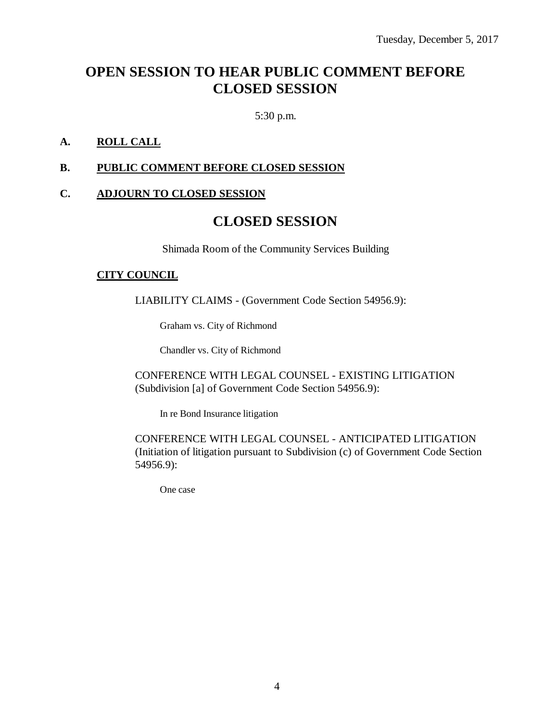# **OPEN SESSION TO HEAR PUBLIC COMMENT BEFORE CLOSED SESSION**

5:30 p.m.

### **A. ROLL CALL**

### **B. PUBLIC COMMENT BEFORE CLOSED SESSION**

### **C. ADJOURN TO CLOSED SESSION**

### **CLOSED SESSION**

Shimada Room of the Community Services Building

#### **CITY COUNCIL**

LIABILITY CLAIMS - (Government Code Section 54956.9):

Graham vs. City of Richmond

Chandler vs. City of Richmond

CONFERENCE WITH LEGAL COUNSEL - EXISTING LITIGATION (Subdivision [a] of Government Code Section 54956.9):

In re Bond Insurance litigation

CONFERENCE WITH LEGAL COUNSEL - ANTICIPATED LITIGATION (Initiation of litigation pursuant to Subdivision (c) of Government Code Section 54956.9):

One case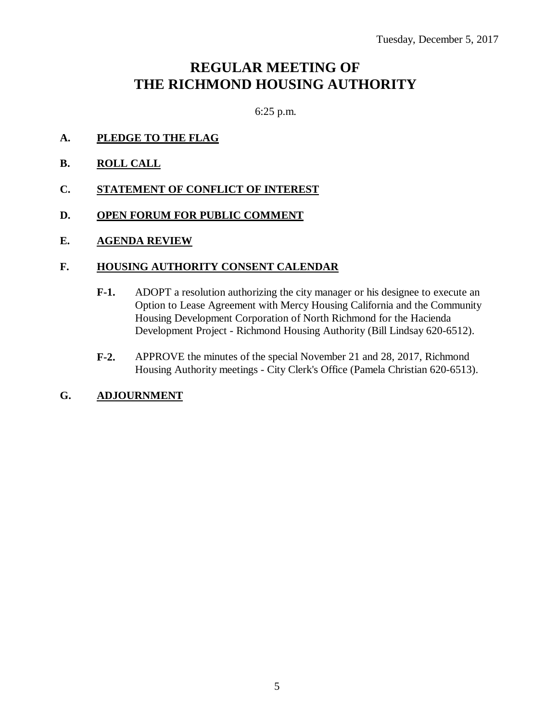# **REGULAR MEETING OF THE RICHMOND HOUSING AUTHORITY**

6:25 p.m.

- **A. PLEDGE TO THE FLAG**
- **B. ROLL CALL**
- **C. STATEMENT OF CONFLICT OF INTEREST**
- **D. OPEN FORUM FOR PUBLIC COMMENT**
- **E. AGENDA REVIEW**

### **F. HOUSING AUTHORITY CONSENT CALENDAR**

- **F-1.** ADOPT a resolution authorizing the city manager or his designee to execute an Option to Lease Agreement with Mercy Housing California and the Community Housing Development Corporation of North Richmond for the Hacienda Development Project - Richmond Housing Authority (Bill Lindsay 620-6512).
- **F-2.** APPROVE the minutes of the special November 21 and 28, 2017, Richmond Housing Authority meetings - City Clerk's Office (Pamela Christian 620-6513).
- **G. ADJOURNMENT**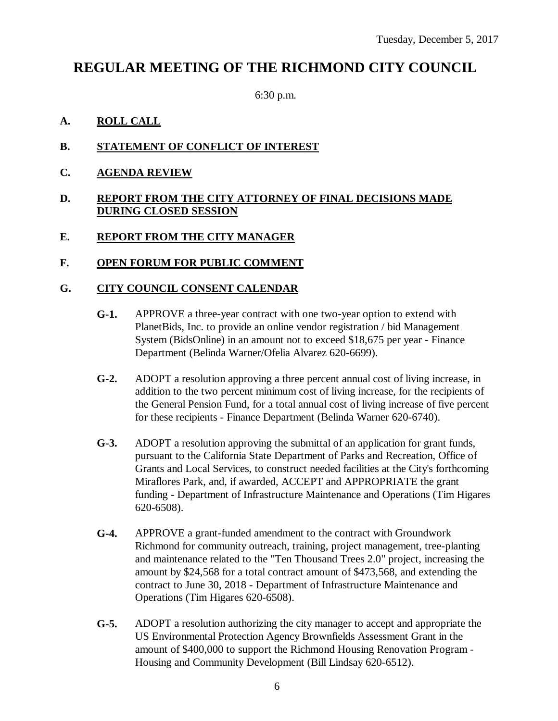## **REGULAR MEETING OF THE RICHMOND CITY COUNCIL**

6:30 p.m.

### **A. ROLL CALL**

- **B. STATEMENT OF CONFLICT OF INTEREST**
- **C. AGENDA REVIEW**

#### **D. REPORT FROM THE CITY ATTORNEY OF FINAL DECISIONS MADE DURING CLOSED SESSION**

### **E. REPORT FROM THE CITY MANAGER**

### **F. OPEN FORUM FOR PUBLIC COMMENT**

### **G. CITY COUNCIL CONSENT CALENDAR**

- **G-1.** APPROVE a three-year contract with one two-year option to extend with PlanetBids, Inc. to provide an online vendor registration / bid Management System (BidsOnline) in an amount not to exceed \$18,675 per year - Finance Department (Belinda Warner/Ofelia Alvarez 620-6699).
- **G-2.** ADOPT a resolution approving a three percent annual cost of living increase, in addition to the two percent minimum cost of living increase, for the recipients of the General Pension Fund, for a total annual cost of living increase of five percent for these recipients - Finance Department (Belinda Warner 620-6740).
- **G-3.** ADOPT a resolution approving the submittal of an application for grant funds, pursuant to the California State Department of Parks and Recreation, Office of Grants and Local Services, to construct needed facilities at the City's forthcoming Miraflores Park, and, if awarded, ACCEPT and APPROPRIATE the grant funding - Department of Infrastructure Maintenance and Operations (Tim Higares 620-6508).
- **G-4.** APPROVE a grant-funded amendment to the contract with Groundwork Richmond for community outreach, training, project management, tree-planting and maintenance related to the "Ten Thousand Trees 2.0" project, increasing the amount by \$24,568 for a total contract amount of \$473,568, and extending the contract to June 30, 2018 - Department of Infrastructure Maintenance and Operations (Tim Higares 620-6508).
- **G-5.** ADOPT a resolution authorizing the city manager to accept and appropriate the US Environmental Protection Agency Brownfields Assessment Grant in the amount of \$400,000 to support the Richmond Housing Renovation Program - Housing and Community Development (Bill Lindsay 620-6512).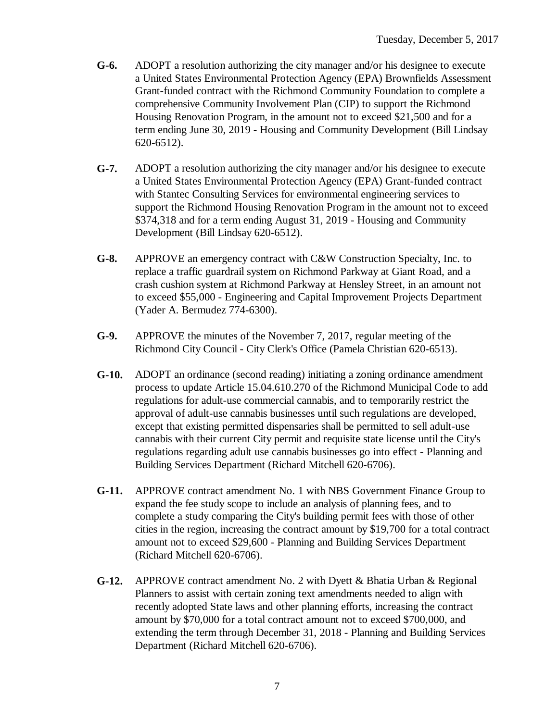- **G-6.** ADOPT a resolution authorizing the city manager and/or his designee to execute a United States Environmental Protection Agency (EPA) Brownfields Assessment Grant-funded contract with the Richmond Community Foundation to complete a comprehensive Community Involvement Plan (CIP) to support the Richmond Housing Renovation Program, in the amount not to exceed \$21,500 and for a term ending June 30, 2019 - Housing and Community Development (Bill Lindsay 620-6512).
- **G-7.** ADOPT a resolution authorizing the city manager and/or his designee to execute a United States Environmental Protection Agency (EPA) Grant-funded contract with Stantec Consulting Services for environmental engineering services to support the Richmond Housing Renovation Program in the amount not to exceed \$374,318 and for a term ending August 31, 2019 - Housing and Community Development (Bill Lindsay 620-6512).
- **G-8.** APPROVE an emergency contract with C&W Construction Specialty, Inc. to replace a traffic guardrail system on Richmond Parkway at Giant Road, and a crash cushion system at Richmond Parkway at Hensley Street, in an amount not to exceed \$55,000 - Engineering and Capital Improvement Projects Department (Yader A. Bermudez 774-6300).
- **G-9.** APPROVE the minutes of the November 7, 2017, regular meeting of the Richmond City Council - City Clerk's Office (Pamela Christian 620-6513).
- **G-10.** ADOPT an ordinance (second reading) initiating a zoning ordinance amendment process to update Article 15.04.610.270 of the Richmond Municipal Code to add regulations for adult-use commercial cannabis, and to temporarily restrict the approval of adult-use cannabis businesses until such regulations are developed, except that existing permitted dispensaries shall be permitted to sell adult-use cannabis with their current City permit and requisite state license until the City's regulations regarding adult use cannabis businesses go into effect - Planning and Building Services Department (Richard Mitchell 620-6706).
- **G-11.** APPROVE contract amendment No. 1 with NBS Government Finance Group to expand the fee study scope to include an analysis of planning fees, and to complete a study comparing the City's building permit fees with those of other cities in the region, increasing the contract amount by \$19,700 for a total contract amount not to exceed \$29,600 - Planning and Building Services Department (Richard Mitchell 620-6706).
- **G-12.** APPROVE contract amendment No. 2 with Dyett & Bhatia Urban & Regional Planners to assist with certain zoning text amendments needed to align with recently adopted State laws and other planning efforts, increasing the contract amount by \$70,000 for a total contract amount not to exceed \$700,000, and extending the term through December 31, 2018 - Planning and Building Services Department (Richard Mitchell 620-6706).